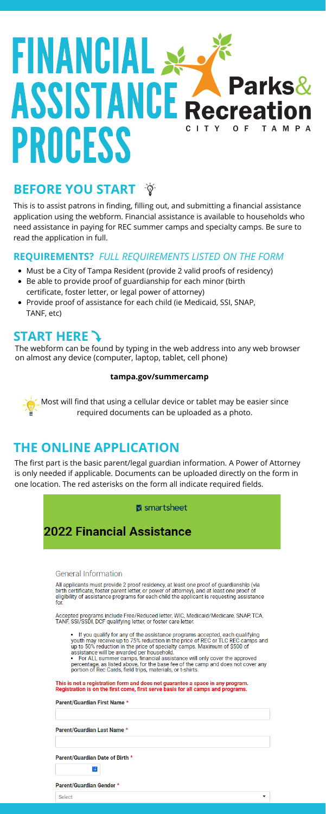# FINANCIAL SE O **ASSISTANCE A Parks&** C I T Y OF TAMPA PROCESS

# **BEFORE YOU START**

- Must be a City of Tampa Resident (provide 2 valid proofs of residency)
- Be able to provide proof of guardianship for each minor (birth certificate, foster letter, or legal power of attorney)
- Provide proof of assistance for each child (ie Medicaid, SSI, SNAP, TANF, etc)

The webform can be found by typing in the web address into any web browser on almost any device (computer, laptop, tablet, cell phone)

#### **tampa.gov/summercamp**

 $\sum_{i=1}^{n}$  Most will find that using a cellular device or tablet may be easier since required documents can be uploaded as a photo.

This is to assist patrons in finding, filling out, and submitting a financial assistance application using the webform. Financial assistance is available to households who need assistance in paying for REC summer camps and specialty camps. Be sure to read the application in full.

# **START HERE**

### **REQUIREMENTS?** *FULL REQUIREMENTS LISTED ON THE FORM*

# **THE ONLINE APPLICATION**

The first part is the basic parent/legal guardian information. A Power of Attorney is only needed if applicable. Documents can be uploaded directly on the form in one location. The red asterisks on the form all indicate required fields.

#### M smartsheet

## **2022 Financial Assistance**

#### General Information

All applicants must provide 2 proof residency, at least one proof of guardianship (via birth certificate, foster parent letter, or power of attorney), and at least one proof of eligibility of assistance programs for each child the applicant is requesting assistance for.

Accepted programs include Free/Reduced letter, WIC, Medicaid/Medicare, SNAP, TCA, TANF, SSI/SSDI, DCF qualifying letter, or foster care letter.

- If you qualify for any of the assistance programs accepted, each qualifying youth may receive up to 75% reduction in the price of REC or TLC REC camps and up to 50% reduction in the price of specialty camps. Maximum of \$500 of assistance will be awarded per household.
- For ALL summer camps, financial assistance will only cover the approved percentage, as listed above, for the base fee of the camp and does not cover any portion of Rec Cards, field trips, materials, or t-shirts.

This is not a registration form and does not guarantee a space in any program. Registration is on the first come, first serve basis for all camps and programs.

#### Parent/Guardian First Name \*

#### Parent/Guardian Last Name \*

Parent/Guardian Date of Birth \*

 $\mathbf{3} \mathbf{i}$ 

Parent/Guardian Gender \*

Select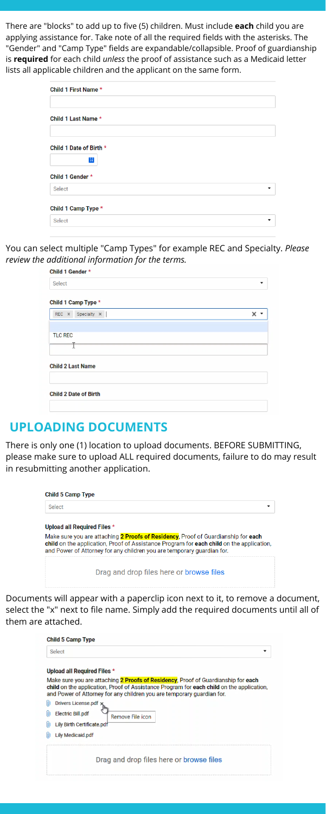There are "blocks" to add up to five (5) children. Must include **each** child you are applying assistance for. Take note of all the required fields with the asterisks. The "Gender" and "Camp Type" fields are expandable/collapsible. Proof of guardianship is **required** for each child *unless* the proof of assistance such as a Medicaid letter lists all applicable children and the applicant on the same form.

| Child 1 First Name *    |  |   |
|-------------------------|--|---|
|                         |  |   |
| Child 1 Last Name *     |  |   |
|                         |  |   |
| Child 1 Date of Birth * |  |   |
| $\overline{31}$         |  |   |
| Child 1 Gender *        |  |   |
| Select                  |  | ▼ |
| Child 1 Camp Type *     |  |   |
| Select                  |  | ▼ |

You can select multiple "Camp Types" for example REC and Specialty. *Please review the additional information for the terms.*

| Select                          |                               |
|---------------------------------|-------------------------------|
| Child 1 Camp Type *             |                               |
| REC $\times$ Specialty $\times$ | x<br>$\overline{\phantom{a}}$ |
|                                 |                               |
| <b>TLC REC</b>                  |                               |
|                                 |                               |
|                                 |                               |
| <b>Child 2 Last Name</b>        |                               |
|                                 |                               |
| <b>Child 2 Date of Birth</b>    |                               |
|                                 |                               |

## **UPLOADING DOCUMENTS**

There is only one (1) location to upload documents. BEFORE SUBMITTING, please make sure to upload ALL required documents, failure to do may result in resubmitting another application.

#### **Child 5 Camp Type**

Select

#### Upload all Required Files \*

Make sure you are attaching 2 Proofs of Residency, Proof of Guardianship for each child on the application, Proof of Assistance Program for each child on the application, and Power of Attorney for any children you are temporary guardian for.

Drag and drop files here or browse files

Documents will appear with a paperclip icon next to it, to remove a document, select the "x" next to file name. Simply add the required documents until all of them are attached.

| Select                                                                                                                                                                                                                                                  |
|---------------------------------------------------------------------------------------------------------------------------------------------------------------------------------------------------------------------------------------------------------|
| Upload all Required Files *                                                                                                                                                                                                                             |
| Make sure you are attaching 2 Proofs of Residency, Proof of Guardianship for each<br>child on the application, Proof of Assistance Program for each child on the application,<br>and Power of Attorney for any children you are temporary guardian for. |
| Drivers License.pdf<br><b>Electric Bill.pdf</b><br>Remove File icon<br>Lily Birth Certificate.pdf                                                                                                                                                       |
| <b>Lily Medicaid.pdf</b>                                                                                                                                                                                                                                |
| Drag and drop files here or browse files                                                                                                                                                                                                                |